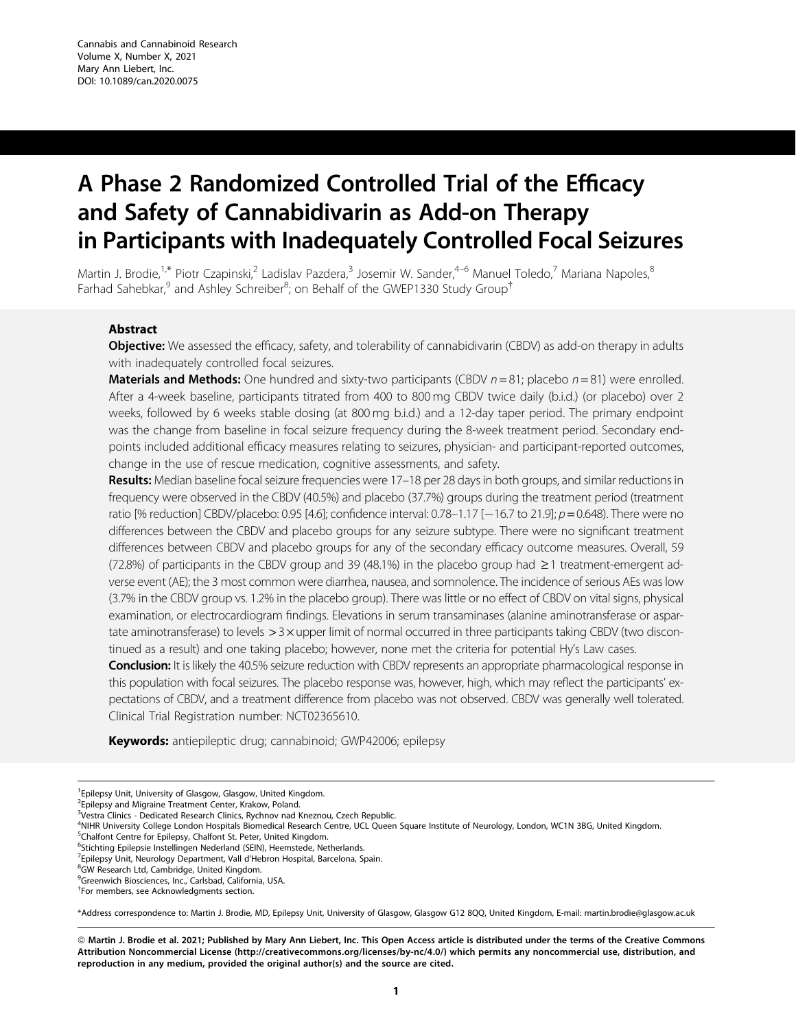# A Phase 2 Randomized Controlled Trial of the Efficacy and Safety of Cannabidivarin as Add-on Therapy in Participants with Inadequately Controlled Focal Seizures

Martin J. Brodie,<sup>1,\*</sup> Piotr Czapinski,<sup>2</sup> Ladislav Pazdera,<sup>3</sup> Josemir W. Sander,<sup>4–6</sup> Manuel Toledo,<sup>7</sup> Mariana Napoles,<sup>8</sup> Farhad Sahebkar,<sup>9</sup> and Ashley Schreiber<sup>8</sup>; on Behalf of the GWEP1330 Study Group<sup>†</sup>

## Abstract

**Objective:** We assessed the efficacy, safety, and tolerability of cannabidivarin (CBDV) as add-on therapy in adults with inadequately controlled focal seizures.

**Materials and Methods:** One hundred and sixty-two participants (CBDV  $n = 81$ ; placebo  $n = 81$ ) were enrolled. After a 4-week baseline, participants titrated from 400 to 800 mg CBDV twice daily (b.i.d.) (or placebo) over 2 weeks, followed by 6 weeks stable dosing (at 800 mg b.i.d.) and a 12-day taper period. The primary endpoint was the change from baseline in focal seizure frequency during the 8-week treatment period. Secondary endpoints included additional efficacy measures relating to seizures, physician- and participant-reported outcomes, change in the use of rescue medication, cognitive assessments, and safety.

Results: Median baseline focal seizure frequencies were 17-18 per 28 days in both groups, and similar reductions in frequency were observed in the CBDV (40.5%) and placebo (37.7%) groups during the treatment period (treatment ratio [% reduction] CBDV/placebo: 0.95 [4.6]; confidence interval: 0.78–1.17 [—16.7 to 21.9];  $\rho$  = 0.648). There were no differences between the CBDV and placebo groups for any seizure subtype. There were no significant treatment differences between CBDV and placebo groups for any of the secondary efficacy outcome measures. Overall, 59 (72.8%) of participants in the CBDV group and 39 (48.1%) in the placebo group had  $\geq 1$  treatment-emergent adverse event (AE); the 3 most common were diarrhea, nausea, and somnolence. The incidence of serious AEs was low (3.7% in the CBDV group vs. 1.2% in the placebo group). There was little or no effect of CBDV on vital signs, physical examination, or electrocardiogram findings. Elevations in serum transaminases (alanine aminotransferase or aspartate aminotransferase) to levels  $>$  3 $\times$  upper limit of normal occurred in three participants taking CBDV (two discontinued as a result) and one taking placebo; however, none met the criteria for potential Hy's Law cases.

Conclusion: It is likely the 40.5% seizure reduction with CBDV represents an appropriate pharmacological response in this population with focal seizures. The placebo response was, however, high, which may reflect the participants' expectations of CBDV, and a treatment difference from placebo was not observed. CBDV was generally well tolerated. Clinical Trial Registration number: NCT02365610.

Keywords: antiepileptic drug; cannabinoid; GWP42006; epilepsy

<sup>1</sup> Epilepsy Unit, University of Glasgow, Glasgow, United Kingdom.

4 NIHR University College London Hospitals Biomedical Research Centre, UCL Queen Square Institute of Neurology, London, WC1N 3BG, United Kingdom.

<sup>5</sup>Chalfont Centre for Epilepsy, Chalfont St. Peter, United Kingdom.

<sup>7</sup> Epilepsy Unit, Neurology Department, Vall d'Hebron Hospital, Barcelona, Spain.

9 Greenwich Biosciences, Inc., Carlsbad, California, USA.

\*Address correspondence to: Martin J. Brodie, MD, Epilepsy Unit, University of Glasgow, Glasgow G12 8QQ, United Kingdom, E-mail: martin.brodie@glasgow.ac.uk

ª Martin J. Brodie et al. 2021; Published by Mary Ann Liebert, Inc. This Open Access article is distributed under the terms of the Creative Commons Attribution Noncommercial License ([http://creativecommons.org/licenses/by-nc/4.0/\)](http://creativecommons.org/licenses/by-nc/4.0/) which permits any noncommercial use, distribution, and reproduction in any medium, provided the original author(s) and the source are cited.

<sup>&</sup>lt;sup>2</sup> Epilepsy and Migraine Treatment Center, Krakow, Poland.

<sup>&</sup>lt;sup>3</sup>Vestra Clinics - Dedicated Research Clinics, Rychnov nad Kneznou, Czech Republic.

<sup>&</sup>lt;sup>6</sup>Stichting Epilepsie Instellingen Nederland (SEIN), Heemstede, Netherlands.

<sup>&</sup>lt;sup>8</sup>GW Research Ltd, Cambridge, United Kingdom.

<sup>&</sup>lt;sup>†</sup>For members, see Acknowledgments section.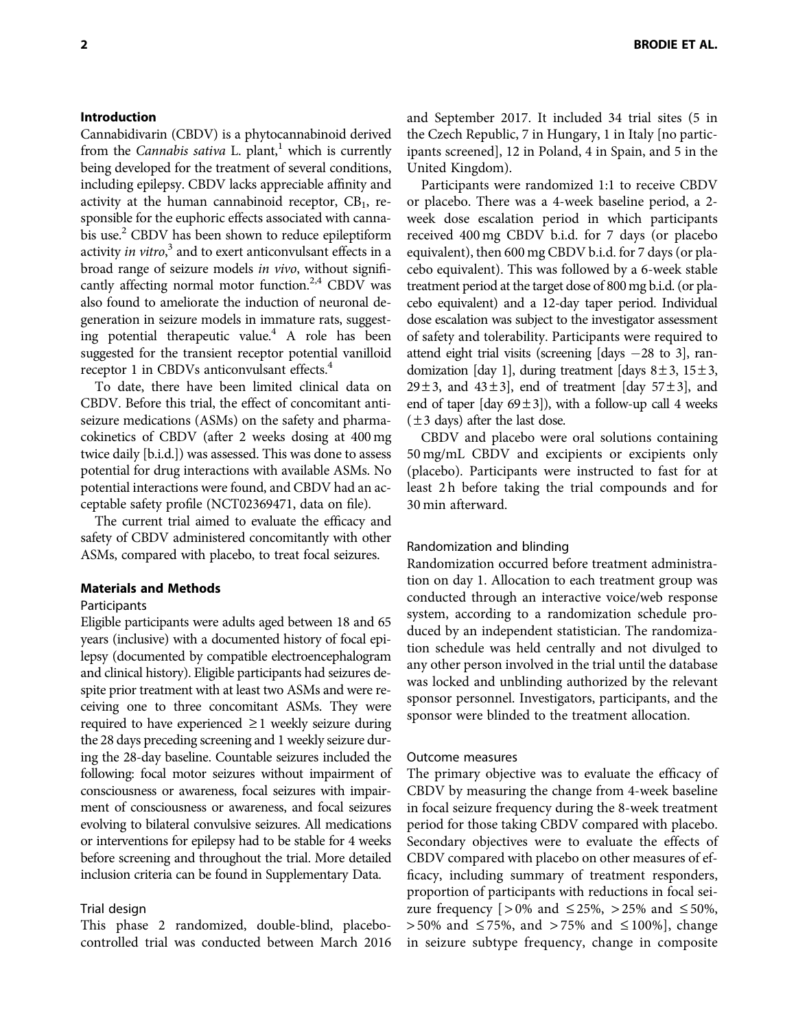# Introduction

Cannabidivarin (CBDV) is a phytocannabinoid derived from the Cannabis sativa L. plant, $^1$  which is currently being developed for the treatment of several conditions, including epilepsy. CBDV lacks appreciable affinity and activity at the human cannabinoid receptor,  $CB<sub>1</sub>$ , responsible for the euphoric effects associated with cannabis use.<sup>2</sup> CBDV has been shown to reduce epileptiform activity in vitro,<sup>3</sup> and to exert anticonvulsant effects in a broad range of seizure models in vivo, without significantly affecting normal motor function.<sup>2,4</sup> CBDV was also found to ameliorate the induction of neuronal degeneration in seizure models in immature rats, suggesting potential therapeutic value.<sup>4</sup> A role has been suggested for the transient receptor potential vanilloid receptor 1 in CBDVs anticonvulsant effects.<sup>4</sup>

To date, there have been limited clinical data on CBDV. Before this trial, the effect of concomitant antiseizure medications (ASMs) on the safety and pharmacokinetics of CBDV (after 2 weeks dosing at 400 mg twice daily [b.i.d.]) was assessed. This was done to assess potential for drug interactions with available ASMs. No potential interactions were found, and CBDV had an acceptable safety profile (NCT02369471, data on file).

The current trial aimed to evaluate the efficacy and safety of CBDV administered concomitantly with other ASMs, compared with placebo, to treat focal seizures.

## Materials and Methods

## Participants

Eligible participants were adults aged between 18 and 65 years (inclusive) with a documented history of focal epilepsy (documented by compatible electroencephalogram and clinical history). Eligible participants had seizures despite prior treatment with at least two ASMs and were receiving one to three concomitant ASMs. They were required to have experienced  $\geq 1$  weekly seizure during the 28 days preceding screening and 1 weekly seizure during the 28-day baseline. Countable seizures included the following: focal motor seizures without impairment of consciousness or awareness, focal seizures with impairment of consciousness or awareness, and focal seizures evolving to bilateral convulsive seizures. All medications or interventions for epilepsy had to be stable for 4 weeks before screening and throughout the trial. More detailed inclusion criteria can be found in Supplementary Data.

## Trial design

This phase 2 randomized, double-blind, placebocontrolled trial was conducted between March 2016 and September 2017. It included 34 trial sites (5 in the Czech Republic, 7 in Hungary, 1 in Italy [no participants screened], 12 in Poland, 4 in Spain, and 5 in the United Kingdom).

Participants were randomized 1:1 to receive CBDV or placebo. There was a 4-week baseline period, a 2 week dose escalation period in which participants received 400 mg CBDV b.i.d. for 7 days (or placebo equivalent), then 600 mg CBDV b.i.d. for 7 days (or placebo equivalent). This was followed by a 6-week stable treatment period at the target dose of 800 mg b.i.d. (or placebo equivalent) and a 12-day taper period. Individual dose escalation was subject to the investigator assessment of safety and tolerability. Participants were required to attend eight trial visits (screening  $[days -28$  to 3], randomization [day 1], during treatment [days  $8 \pm 3$ ,  $15 \pm 3$ ,  $29 \pm 3$ , and  $43 \pm 3$ , end of treatment [day  $57 \pm 3$ ], and end of taper [day  $69 \pm 3$ ]), with a follow-up call 4 weeks  $(\pm 3$  days) after the last dose.

CBDV and placebo were oral solutions containing 50 mg/mL CBDV and excipients or excipients only (placebo). Participants were instructed to fast for at least 2 h before taking the trial compounds and for 30 min afterward.

## Randomization and blinding

Randomization occurred before treatment administration on day 1. Allocation to each treatment group was conducted through an interactive voice/web response system, according to a randomization schedule produced by an independent statistician. The randomization schedule was held centrally and not divulged to any other person involved in the trial until the database was locked and unblinding authorized by the relevant sponsor personnel. Investigators, participants, and the sponsor were blinded to the treatment allocation.

#### Outcome measures

The primary objective was to evaluate the efficacy of CBDV by measuring the change from 4-week baseline in focal seizure frequency during the 8-week treatment period for those taking CBDV compared with placebo. Secondary objectives were to evaluate the effects of CBDV compared with placebo on other measures of efficacy, including summary of treatment responders, proportion of participants with reductions in focal seizure frequency  $[>0\%$  and  $\leq 25\%$ ,  $> 25\%$  and  $\leq 50\%$ ,  $> 50\%$  and  $\leq 75\%$ , and  $> 75\%$  and  $\leq 100\%$ , change in seizure subtype frequency, change in composite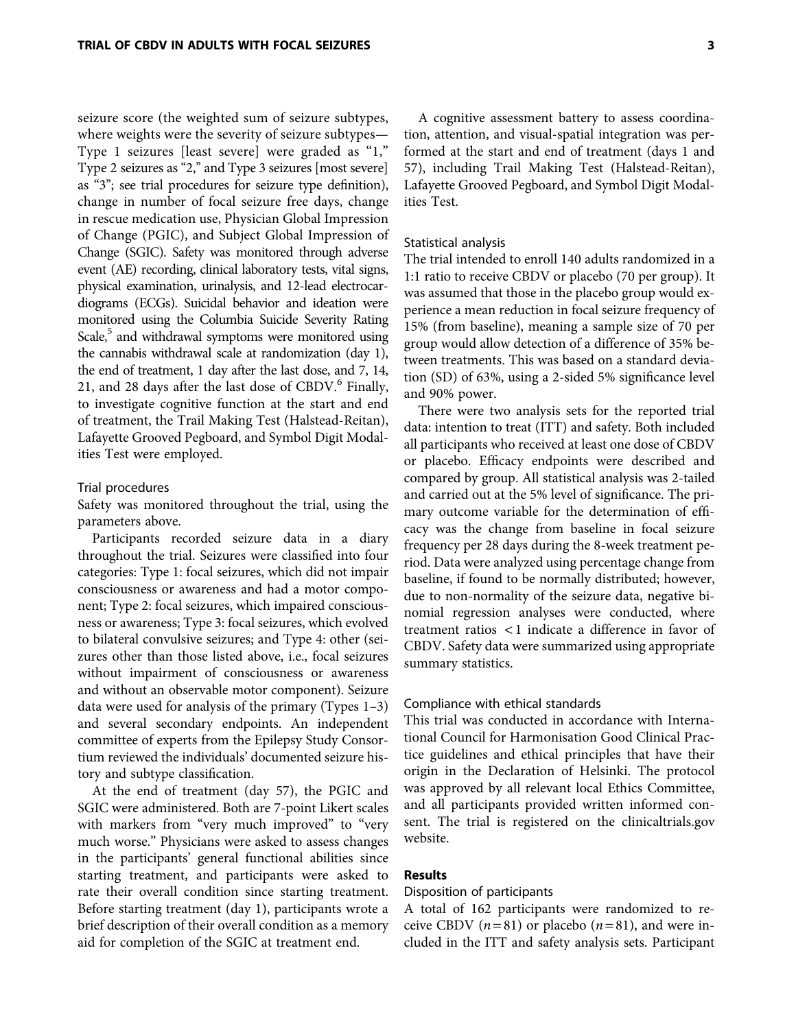seizure score (the weighted sum of seizure subtypes, where weights were the severity of seizure subtypes— Type 1 seizures [least severe] were graded as "1," Type 2 seizures as "2," and Type 3 seizures [most severe] as "3"; see trial procedures for seizure type definition), change in number of focal seizure free days, change in rescue medication use, Physician Global Impression of Change (PGIC), and Subject Global Impression of Change (SGIC). Safety was monitored through adverse event (AE) recording, clinical laboratory tests, vital signs, physical examination, urinalysis, and 12-lead electrocardiograms (ECGs). Suicidal behavior and ideation were monitored using the Columbia Suicide Severity Rating Scale, $5$  and withdrawal symptoms were monitored using the cannabis withdrawal scale at randomization (day 1), the end of treatment, 1 day after the last dose, and 7, 14, 21, and 28 days after the last dose of CBDV. $<sup>6</sup>$  Finally,</sup> to investigate cognitive function at the start and end of treatment, the Trail Making Test (Halstead-Reitan), Lafayette Grooved Pegboard, and Symbol Digit Modalities Test were employed.

## Trial procedures

Safety was monitored throughout the trial, using the parameters above.

Participants recorded seizure data in a diary throughout the trial. Seizures were classified into four categories: Type 1: focal seizures, which did not impair consciousness or awareness and had a motor component; Type 2: focal seizures, which impaired consciousness or awareness; Type 3: focal seizures, which evolved to bilateral convulsive seizures; and Type 4: other (seizures other than those listed above, i.e., focal seizures without impairment of consciousness or awareness and without an observable motor component). Seizure data were used for analysis of the primary (Types 1–3) and several secondary endpoints. An independent committee of experts from the Epilepsy Study Consortium reviewed the individuals' documented seizure history and subtype classification.

At the end of treatment (day 57), the PGIC and SGIC were administered. Both are 7-point Likert scales with markers from "very much improved" to "very much worse.'' Physicians were asked to assess changes in the participants' general functional abilities since starting treatment, and participants were asked to rate their overall condition since starting treatment. Before starting treatment (day 1), participants wrote a brief description of their overall condition as a memory aid for completion of the SGIC at treatment end.

A cognitive assessment battery to assess coordination, attention, and visual-spatial integration was performed at the start and end of treatment (days 1 and 57), including Trail Making Test (Halstead-Reitan), Lafayette Grooved Pegboard, and Symbol Digit Modalities Test.

#### Statistical analysis

The trial intended to enroll 140 adults randomized in a 1:1 ratio to receive CBDV or placebo (70 per group). It was assumed that those in the placebo group would experience a mean reduction in focal seizure frequency of 15% (from baseline), meaning a sample size of 70 per group would allow detection of a difference of 35% between treatments. This was based on a standard deviation (SD) of 63%, using a 2-sided 5% significance level and 90% power.

There were two analysis sets for the reported trial data: intention to treat (ITT) and safety. Both included all participants who received at least one dose of CBDV or placebo. Efficacy endpoints were described and compared by group. All statistical analysis was 2-tailed and carried out at the 5% level of significance. The primary outcome variable for the determination of efficacy was the change from baseline in focal seizure frequency per 28 days during the 8-week treatment period. Data were analyzed using percentage change from baseline, if found to be normally distributed; however, due to non-normality of the seizure data, negative binomial regression analyses were conducted, where treatment ratios < 1 indicate a difference in favor of CBDV. Safety data were summarized using appropriate summary statistics.

### Compliance with ethical standards

This trial was conducted in accordance with International Council for Harmonisation Good Clinical Practice guidelines and ethical principles that have their origin in the Declaration of Helsinki. The protocol was approved by all relevant local Ethics Committee, and all participants provided written informed consent. The trial is registered on the clinicaltrials.gov website.

## Results

## Disposition of participants

A total of 162 participants were randomized to receive CBDV  $(n=81)$  or placebo  $(n=81)$ , and were included in the ITT and safety analysis sets. Participant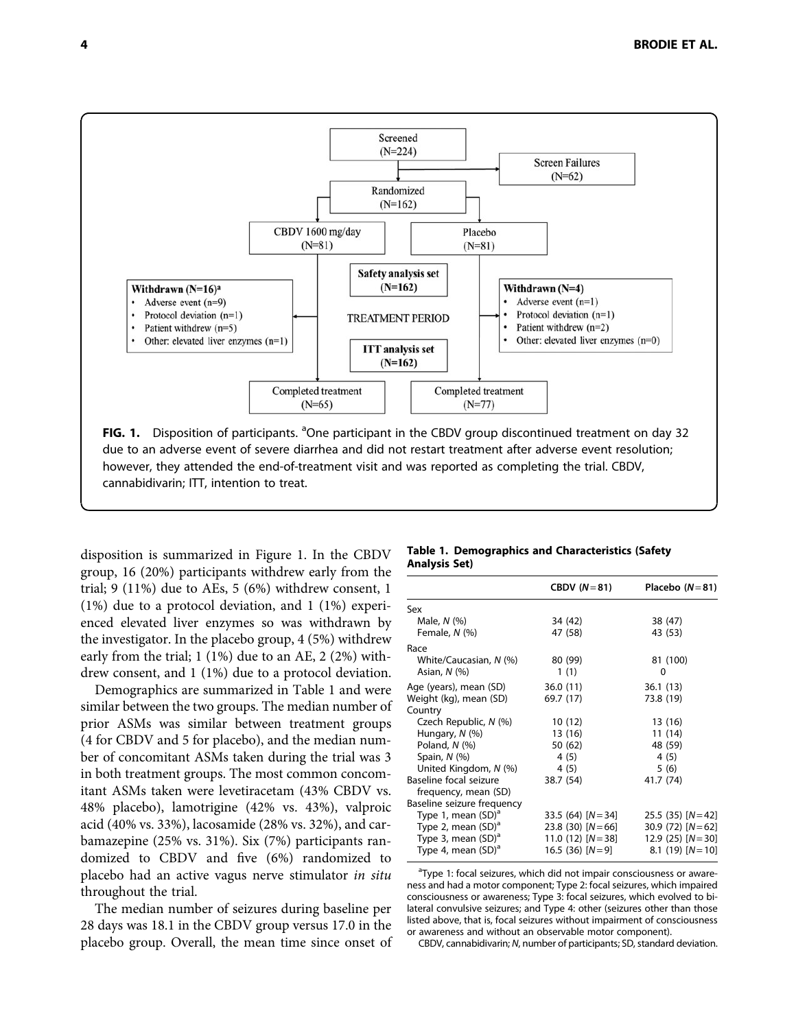

disposition is summarized in Figure 1. In the CBDV group, 16 (20%) participants withdrew early from the trial; 9 (11%) due to AEs, 5 (6%) withdrew consent, 1 (1%) due to a protocol deviation, and 1 (1%) experienced elevated liver enzymes so was withdrawn by the investigator. In the placebo group, 4 (5%) withdrew early from the trial; 1 (1%) due to an AE, 2 (2%) withdrew consent, and 1 (1%) due to a protocol deviation.

Demographics are summarized in Table 1 and were similar between the two groups. The median number of prior ASMs was similar between treatment groups (4 for CBDV and 5 for placebo), and the median number of concomitant ASMs taken during the trial was 3 in both treatment groups. The most common concomitant ASMs taken were levetiracetam (43% CBDV vs. 48% placebo), lamotrigine (42% vs. 43%), valproic acid (40% vs. 33%), lacosamide (28% vs. 32%), and carbamazepine (25% vs. 31%). Six (7%) participants randomized to CBDV and five (6%) randomized to placebo had an active vagus nerve stimulator in situ throughout the trial.

The median number of seizures during baseline per 28 days was 18.1 in the CBDV group versus 17.0 in the placebo group. Overall, the mean time since onset of

#### Table 1. Demographics and Characteristics (Safety Analysis Set)

|                            | CBDV $(N=81)$         | Placebo $(N=81)$     |
|----------------------------|-----------------------|----------------------|
| Sex                        |                       |                      |
| Male, $N$ $(\%)$           | 34 (42)               | 38 (47)              |
| Female, N (%)              | 47 (58)               | 43 (53)              |
| Race                       |                       |                      |
| White/Caucasian, N (%)     | 80 (99)               | 81 (100)             |
| Asian, $N$ $(\%)$          | 1(1)                  | 0                    |
| Age (years), mean (SD)     | 36.0(11)              | 36.1(13)             |
| Weight (kg), mean (SD)     | 69.7 (17)             | 73.8 (19)            |
| Country                    |                       |                      |
| Czech Republic, N (%)      | 10(12)                | 13 (16)              |
| Hungary, N (%)             | 13 (16)               | 11 (14)              |
| Poland, $N$ $(\%)$         | 50 (62)               | 48 (59)              |
| Spain, $N$ $(\%)$          | 4(5)                  | 4(5)                 |
| United Kingdom, N (%)      | 4 (5)                 | 5(6)                 |
| Baseline focal seizure     | 38.7 (54)             | 41.7 (74)            |
| frequency, mean (SD)       |                       |                      |
| Baseline seizure frequency |                       |                      |
| Type 1, mean $(SD)^a$      | $33.5(64)$ $[N = 34]$ | $25.5(35)$ $[N=42]$  |
| Type 2, mean $(SD)^a$      | 23.8 (30) $[N=66]$    | 30.9 $(72)$ $[N=62]$ |
| Type 3, mean $(SD)^a$      | 11.0 (12) $[N=38]$    | $12.9(25)$ $[N=30]$  |
| Type 4, mean $(SD)^a$      | 16.5 (36) $[N=9]$     | $8.1(19)$ [N = 10]   |
|                            |                       |                      |

<sup>a</sup>Type 1: focal seizures, which did not impair consciousness or awareness and had a motor component; Type 2: focal seizures, which impaired consciousness or awareness; Type 3: focal seizures, which evolved to bilateral convulsive seizures; and Type 4: other (seizures other than those listed above, that is, focal seizures without impairment of consciousness or awareness and without an observable motor component).

CBDV, cannabidivarin; N, number of participants; SD, standard deviation.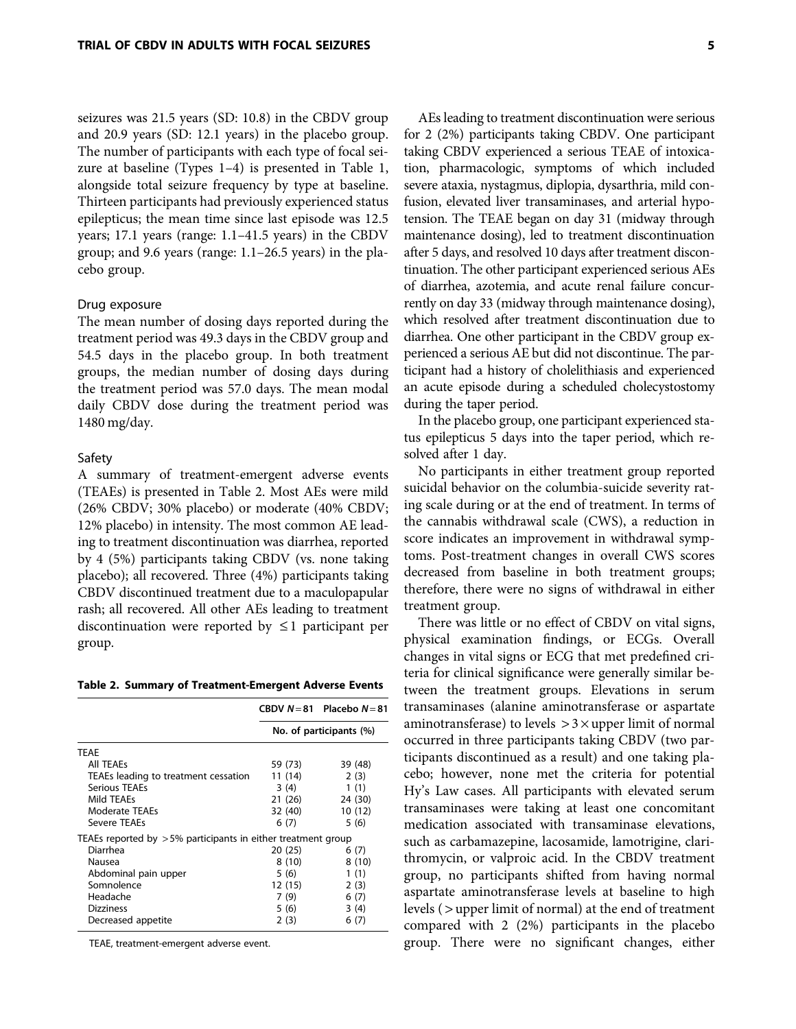seizures was 21.5 years (SD: 10.8) in the CBDV group and 20.9 years (SD: 12.1 years) in the placebo group. The number of participants with each type of focal seizure at baseline (Types 1–4) is presented in Table 1, alongside total seizure frequency by type at baseline. Thirteen participants had previously experienced status epilepticus; the mean time since last episode was 12.5 years; 17.1 years (range: 1.1–41.5 years) in the CBDV group; and 9.6 years (range: 1.1–26.5 years) in the placebo group.

#### Drug exposure

The mean number of dosing days reported during the treatment period was 49.3 days in the CBDV group and 54.5 days in the placebo group. In both treatment groups, the median number of dosing days during the treatment period was 57.0 days. The mean modal daily CBDV dose during the treatment period was 1480 mg/day.

#### Safety

A summary of treatment-emergent adverse events (TEAEs) is presented in Table 2. Most AEs were mild (26% CBDV; 30% placebo) or moderate (40% CBDV; 12% placebo) in intensity. The most common AE leading to treatment discontinuation was diarrhea, reported by 4 (5%) participants taking CBDV (vs. none taking placebo); all recovered. Three (4%) participants taking CBDV discontinued treatment due to a maculopapular rash; all recovered. All other AEs leading to treatment discontinuation were reported by  $\leq 1$  participant per group.

Table 2. Summary of Treatment-Emergent Adverse Events

|                                                                 |                         | CBDV $N=81$ Placebo $N=81$ |  |  |
|-----------------------------------------------------------------|-------------------------|----------------------------|--|--|
|                                                                 | No. of participants (%) |                            |  |  |
| <b>TEAE</b>                                                     |                         |                            |  |  |
| <b>All TEAEs</b>                                                | 59 (73)                 | 39 (48)                    |  |  |
| TEAEs leading to treatment cessation                            | 11 (14)                 | 2(3)                       |  |  |
| Serious TEAEs                                                   | 3 (4)                   | 1(1)                       |  |  |
| Mild TEAEs                                                      | 21 (26)                 | 24 (30)                    |  |  |
| Moderate TEAEs                                                  | 32 (40)                 | 10(12)                     |  |  |
| Severe TFAFs                                                    | 6(7)                    | 5(6)                       |  |  |
| TEAEs reported by $>5\%$ participants in either treatment group |                         |                            |  |  |
| Diarrhea                                                        | 20 (25)                 | 6(7)                       |  |  |
| Nausea                                                          | 8 (10)                  | 8(10)                      |  |  |
| Abdominal pain upper                                            | 5 (6)                   | 1(1)                       |  |  |
| Somnolence                                                      | 12 (15)                 | 2(3)                       |  |  |
| Headache                                                        | 7(9)                    | 6(7)                       |  |  |
| <b>Dizziness</b>                                                | 5 (6)                   | 3(4)                       |  |  |
| Decreased appetite                                              | 2(3)                    | 6(7)                       |  |  |

TEAE, treatment-emergent adverse event.

AEs leading to treatment discontinuation were serious for 2 (2%) participants taking CBDV. One participant taking CBDV experienced a serious TEAE of intoxication, pharmacologic, symptoms of which included severe ataxia, nystagmus, diplopia, dysarthria, mild confusion, elevated liver transaminases, and arterial hypotension. The TEAE began on day 31 (midway through maintenance dosing), led to treatment discontinuation after 5 days, and resolved 10 days after treatment discontinuation. The other participant experienced serious AEs of diarrhea, azotemia, and acute renal failure concurrently on day 33 (midway through maintenance dosing), which resolved after treatment discontinuation due to diarrhea. One other participant in the CBDV group experienced a serious AE but did not discontinue. The participant had a history of cholelithiasis and experienced an acute episode during a scheduled cholecystostomy during the taper period.

In the placebo group, one participant experienced status epilepticus 5 days into the taper period, which resolved after 1 day.

No participants in either treatment group reported suicidal behavior on the columbia-suicide severity rating scale during or at the end of treatment. In terms of the cannabis withdrawal scale (CWS), a reduction in score indicates an improvement in withdrawal symptoms. Post-treatment changes in overall CWS scores decreased from baseline in both treatment groups; therefore, there were no signs of withdrawal in either treatment group.

There was little or no effect of CBDV on vital signs, physical examination findings, or ECGs. Overall changes in vital signs or ECG that met predefined criteria for clinical significance were generally similar between the treatment groups. Elevations in serum transaminases (alanine aminotransferase or aspartate aminotransferase) to levels  $> 3 \times$ upper limit of normal occurred in three participants taking CBDV (two participants discontinued as a result) and one taking placebo; however, none met the criteria for potential Hy's Law cases. All participants with elevated serum transaminases were taking at least one concomitant medication associated with transaminase elevations, such as carbamazepine, lacosamide, lamotrigine, clarithromycin, or valproic acid. In the CBDV treatment group, no participants shifted from having normal aspartate aminotransferase levels at baseline to high levels ( > upper limit of normal) at the end of treatment compared with 2 (2%) participants in the placebo group. There were no significant changes, either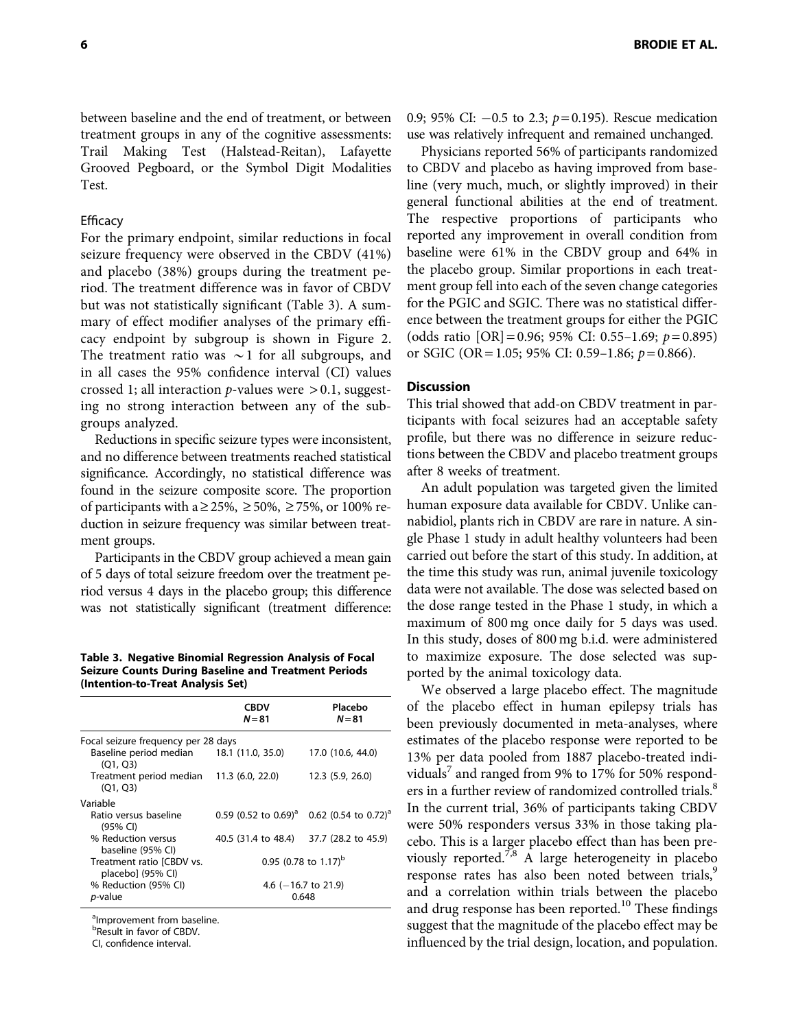between baseline and the end of treatment, or between treatment groups in any of the cognitive assessments: Trail Making Test (Halstead-Reitan), Lafayette Grooved Pegboard, or the Symbol Digit Modalities Test.

## Efficacy

For the primary endpoint, similar reductions in focal seizure frequency were observed in the CBDV (41%) and placebo (38%) groups during the treatment period. The treatment difference was in favor of CBDV but was not statistically significant (Table 3). A summary of effect modifier analyses of the primary efficacy endpoint by subgroup is shown in Figure 2. The treatment ratio was  $\sim$ 1 for all subgroups, and in all cases the 95% confidence interval (CI) values crossed 1; all interaction  $p$ -values were  $> 0.1$ , suggesting no strong interaction between any of the subgroups analyzed.

Reductions in specific seizure types were inconsistent, and no difference between treatments reached statistical significance. Accordingly, no statistical difference was found in the seizure composite score. The proportion of participants with a  $\geq$  25%,  $\geq$  50%,  $\geq$  75%, or 100% reduction in seizure frequency was similar between treatment groups.

Participants in the CBDV group achieved a mean gain of 5 days of total seizure freedom over the treatment period versus 4 days in the placebo group; this difference was not statistically significant (treatment difference:

Table 3. Negative Binomial Regression Analysis of Focal Seizure Counts During Baseline and Treatment Periods (Intention-to-Treat Analysis Set)

|                                                      | CBDV<br>$N = 81$    | Placebo<br>$N = 81$                                               |
|------------------------------------------------------|---------------------|-------------------------------------------------------------------|
| Focal seizure frequency per 28 days                  |                     |                                                                   |
| Baseline period median 18.1 (11.0, 35.0)<br>(Q1, Q3) |                     | 17.0 (10.6, 44.0)                                                 |
| Treatment period median 11.3 (6.0, 22.0)<br>(O1, O3) |                     | 12.3(5.9, 26.0)                                                   |
| Variable                                             |                     |                                                                   |
| Ratio versus baseline<br>(95% CI)                    |                     | 0.59 (0.52 to 0.69) <sup>a</sup> 0.62 (0.54 to 0.72) <sup>a</sup> |
| % Reduction versus<br>baseline (95% CI)              | 40.5 (31.4 to 48.4) | 37.7 (28.2 to 45.9)                                               |
| Treatment ratio [CBDV vs.<br>placebo] (95% CI)       |                     | 0.95 (0.78 to 1.17) <sup>b</sup>                                  |
| % Reduction (95% CI)                                 |                     | 4.6 ( $-16.7$ to 21.9)                                            |
| <i>p</i> -value                                      |                     | 0.648                                                             |

<sup>a</sup>Improvement from baseline.

<sup>b</sup>Result in favor of CBDV.

CI, confidence interval.

0.9; 95% CI:  $-0.5$  to 2.3;  $p=0.195$ ). Rescue medication use was relatively infrequent and remained unchanged.

Physicians reported 56% of participants randomized to CBDV and placebo as having improved from baseline (very much, much, or slightly improved) in their general functional abilities at the end of treatment. The respective proportions of participants who reported any improvement in overall condition from baseline were 61% in the CBDV group and 64% in the placebo group. Similar proportions in each treatment group fell into each of the seven change categories for the PGIC and SGIC. There was no statistical difference between the treatment groups for either the PGIC (odds ratio  $[OR] = 0.96$ ; 95% CI: 0.55-1.69;  $p = 0.895$ ) or SGIC (OR = 1.05; 95% CI: 0.59–1.86;  $p = 0.866$ ).

## **Discussion**

This trial showed that add-on CBDV treatment in participants with focal seizures had an acceptable safety profile, but there was no difference in seizure reductions between the CBDV and placebo treatment groups after 8 weeks of treatment.

An adult population was targeted given the limited human exposure data available for CBDV. Unlike cannabidiol, plants rich in CBDV are rare in nature. A single Phase 1 study in adult healthy volunteers had been carried out before the start of this study. In addition, at the time this study was run, animal juvenile toxicology data were not available. The dose was selected based on the dose range tested in the Phase 1 study, in which a maximum of 800 mg once daily for 5 days was used. In this study, doses of 800 mg b.i.d. were administered to maximize exposure. The dose selected was supported by the animal toxicology data.

We observed a large placebo effect. The magnitude of the placebo effect in human epilepsy trials has been previously documented in meta-analyses, where estimates of the placebo response were reported to be 13% per data pooled from 1887 placebo-treated individuals<sup>7</sup> and ranged from 9% to 17% for 50% responders in a further review of randomized controlled trials.<sup>8</sup> In the current trial, 36% of participants taking CBDV were 50% responders versus 33% in those taking placebo. This is a larger placebo effect than has been previously reported.<sup>7,8</sup> A large heterogeneity in placebo response rates has also been noted between trials,<sup>9</sup> and a correlation within trials between the placebo and drug response has been reported.<sup>10</sup> These findings suggest that the magnitude of the placebo effect may be influenced by the trial design, location, and population.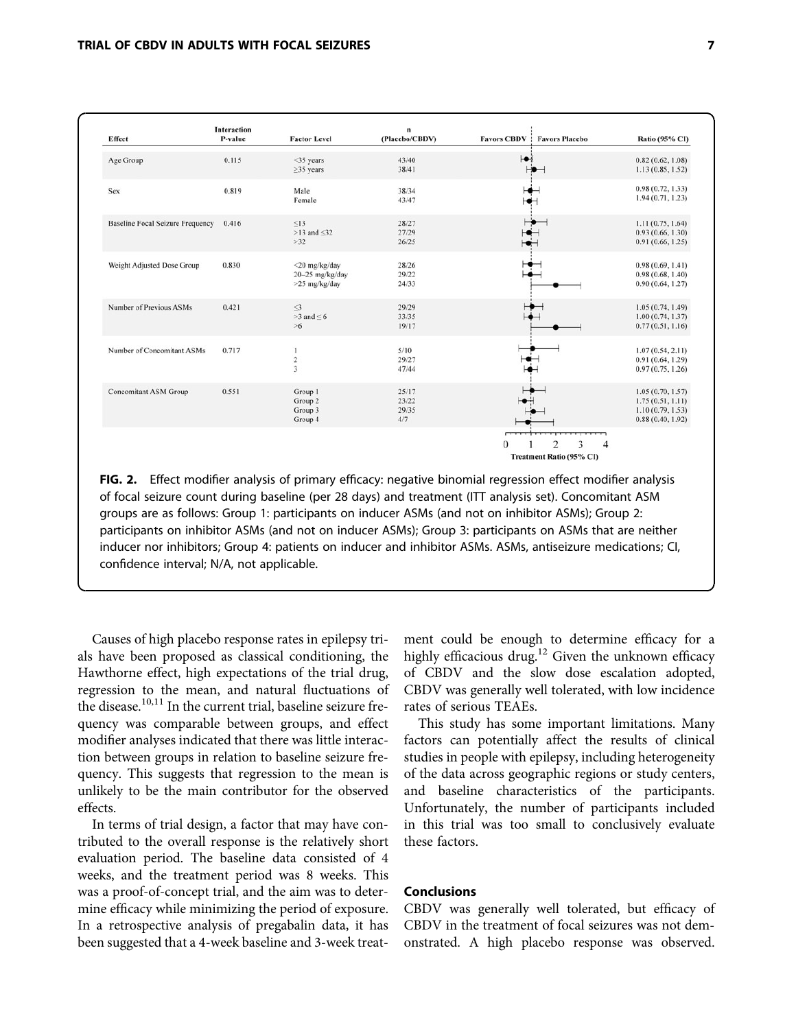| Effect                                  | <b>Interaction</b><br>P-value | <b>Factor Level</b>                               | n<br>(Placebo/CBDV)            | Favors CBDV:<br><b>Favors Placebo</b>                                                                | Ratio (95% CI)                                                               |
|-----------------------------------------|-------------------------------|---------------------------------------------------|--------------------------------|------------------------------------------------------------------------------------------------------|------------------------------------------------------------------------------|
| Age Group                               | 0.115                         | <35 years<br>$\geq$ 35 years                      | 43/40<br>38/41                 |                                                                                                      | 0.82(0.62, 1.08)<br>1.13(0.85, 1.52)                                         |
| Sex                                     | 0.819                         | Male<br>Female                                    | 38/34<br>43/47                 |                                                                                                      | 0.98(0.72, 1.33)<br>1.94(0.71, 1.23)                                         |
| <b>Baseline Focal Seizure Frequency</b> | 0.416                         | $\leq$ 13<br>$>13$ and $\leq 32$<br>$>32$         | 28/27<br>27/29<br>26/25        |                                                                                                      | 1.11(0.75, 1.64)<br>0.93(0.66, 1.30)<br>0.91(0.66, 1.25)                     |
| Weight Adjusted Dose Group              | 0.830                         | <20 mg/kg/day<br>20-25 mg/kg/day<br>>25 mg/kg/day | 28/26<br>29/22<br>24/33        |                                                                                                      | 0.98(0.69, 1.41)<br>0.98(0.68, 1.40)<br>0.90(0.64, 1.27)                     |
| Number of Previous ASMs                 | 0.421                         | $\leq$<br>$>3$ and $\leq 6$<br>$>6$               | 29/29<br>33/35<br>19/17        |                                                                                                      | 1.05(0.74, 1.49)<br>1.00(0.74, 1.37)<br>0.77(0.51, 1.16)                     |
| Number of Concomitant ASMs              | 0.717                         | 1<br>$\,2$<br>$\overline{3}$                      | 5/10<br>29/27<br>47/44         |                                                                                                      | 1.07(0.54, 2.11)<br>0.91(0.64, 1.29)<br>0.97(0.75, 1.26)                     |
| <b>Concomitant ASM Group</b>            | 0.551                         | Group 1<br>Group 2<br>Group 3<br>Group 4          | 25/17<br>23/22<br>29/35<br>4/7 |                                                                                                      | 1.05(0.70, 1.57)<br>1.75(0.51, 1.11)<br>1.10(0.79, 1.53)<br>0.88(0.40, 1.92) |
|                                         |                               |                                                   |                                | $\overline{1}$<br>ᆩ<br>$\overline{c}$<br>3<br>$\overline{4}$<br>$\theta$<br>Treatment Ratio (95% CI) |                                                                              |

FIG. 2. Effect modifier analysis of primary efficacy: negative binomial regression effect modifier analysis of focal seizure count during baseline (per 28 days) and treatment (ITT analysis set). Concomitant ASM groups are as follows: Group 1: participants on inducer ASMs (and not on inhibitor ASMs); Group 2: participants on inhibitor ASMs (and not on inducer ASMs); Group 3: participants on ASMs that are neither inducer nor inhibitors; Group 4: patients on inducer and inhibitor ASMs. ASMs, antiseizure medications; CI, confidence interval; N/A, not applicable.

Causes of high placebo response rates in epilepsy trials have been proposed as classical conditioning, the Hawthorne effect, high expectations of the trial drug, regression to the mean, and natural fluctuations of the disease.10,11 In the current trial, baseline seizure frequency was comparable between groups, and effect modifier analyses indicated that there was little interaction between groups in relation to baseline seizure frequency. This suggests that regression to the mean is unlikely to be the main contributor for the observed effects.

In terms of trial design, a factor that may have contributed to the overall response is the relatively short evaluation period. The baseline data consisted of 4 weeks, and the treatment period was 8 weeks. This was a proof-of-concept trial, and the aim was to determine efficacy while minimizing the period of exposure. In a retrospective analysis of pregabalin data, it has been suggested that a 4-week baseline and 3-week treat-

ment could be enough to determine efficacy for a highly efficacious drug.<sup>12</sup> Given the unknown efficacy of CBDV and the slow dose escalation adopted, CBDV was generally well tolerated, with low incidence rates of serious TEAEs.

This study has some important limitations. Many factors can potentially affect the results of clinical studies in people with epilepsy, including heterogeneity of the data across geographic regions or study centers, and baseline characteristics of the participants. Unfortunately, the number of participants included in this trial was too small to conclusively evaluate these factors.

## Conclusions

CBDV was generally well tolerated, but efficacy of CBDV in the treatment of focal seizures was not demonstrated. A high placebo response was observed.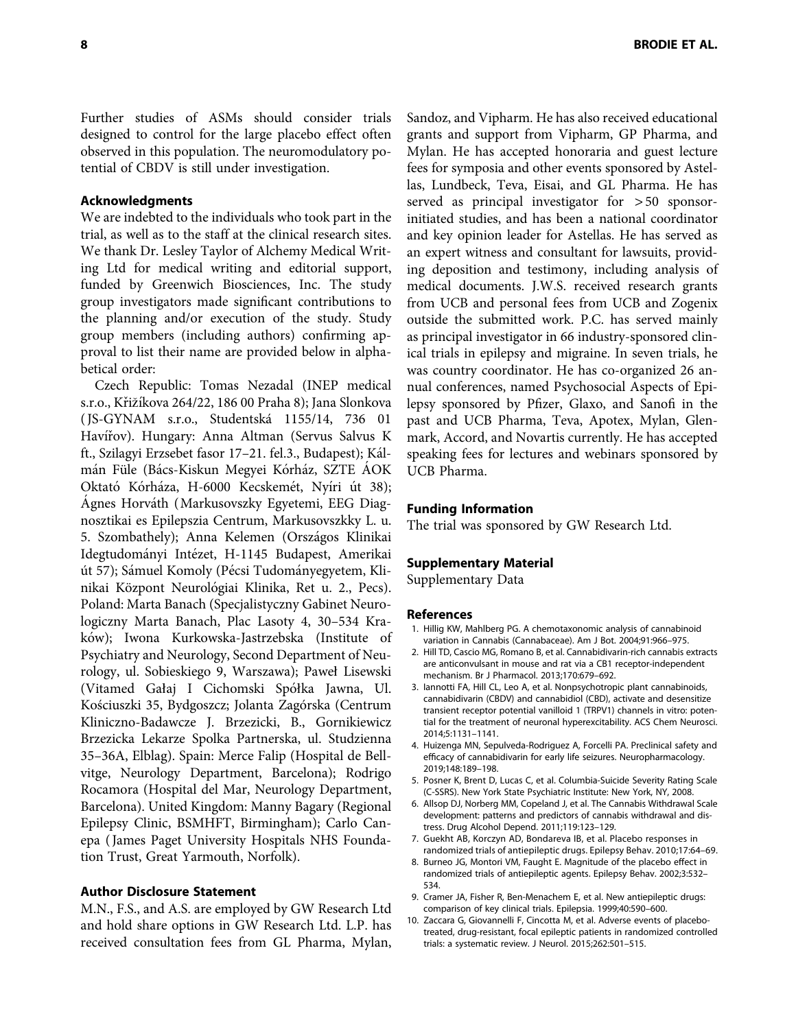Further studies of ASMs should consider trials designed to control for the large placebo effect often observed in this population. The neuromodulatory potential of CBDV is still under investigation.

## Acknowledgments

We are indebted to the individuals who took part in the trial, as well as to the staff at the clinical research sites. We thank Dr. Lesley Taylor of Alchemy Medical Writing Ltd for medical writing and editorial support, funded by Greenwich Biosciences, Inc. The study group investigators made significant contributions to the planning and/or execution of the study. Study group members (including authors) confirming approval to list their name are provided below in alphabetical order:

Czech Republic: Tomas Nezadal (INEP medical s.r.o., Křižíkova 264/22, 186 00 Praha 8); Jana Slonkova ( JS-GYNAM s.r.o., Studentska´ 1155/14, 736 01 Havířov). Hungary: Anna Altman (Servus Salvus K ft., Szilagyi Erzsebet fasor 17-21. fel.3., Budapest); Kálmán Füle (Bács-Kiskun Megyei Kórház, SZTE AOK Oktató Kórháza, H-6000 Kecskemét, Nyíri út 38); Agnes Horváth (Markusovszky Egyetemi, EEG Diagnosztikai es Epilepszia Centrum, Markusovszkky L. u. 5. Szombathely); Anna Kelemen (Országos Klinikai Idegtudományi Intézet, H-1145 Budapest, Amerikai út 57); Sámuel Komoly (Pécsi Tudományegyetem, Klinikai Központ Neurológiai Klinika, Ret u. 2., Pecs). Poland: Marta Banach (Specjalistyczny Gabinet Neurologiczny Marta Banach, Plac Lasoty 4, 30–534 Kraków); Iwona Kurkowska-Jastrzebska (Institute of Psychiatry and Neurology, Second Department of Neurology, ul. Sobieskiego 9, Warszawa); Paweł Lisewski (Vitamed Gałaj I Cichomski Spółka Jawna, Ul. Kościuszki 35, Bydgoszcz; Jolanta Zagórska (Centrum Kliniczno-Badawcze J. Brzezicki, B., Gornikiewicz Brzezicka Lekarze Spolka Partnerska, ul. Studzienna 35–36A, Elblag). Spain: Merce Falip (Hospital de Bellvitge, Neurology Department, Barcelona); Rodrigo Rocamora (Hospital del Mar, Neurology Department, Barcelona). United Kingdom: Manny Bagary (Regional Epilepsy Clinic, BSMHFT, Birmingham); Carlo Canepa ( James Paget University Hospitals NHS Foundation Trust, Great Yarmouth, Norfolk).

## Author Disclosure Statement

M.N., F.S., and A.S. are employed by GW Research Ltd and hold share options in GW Research Ltd. L.P. has received consultation fees from GL Pharma, Mylan, Sandoz, and Vipharm. He has also received educational grants and support from Vipharm, GP Pharma, and Mylan. He has accepted honoraria and guest lecture fees for symposia and other events sponsored by Astellas, Lundbeck, Teva, Eisai, and GL Pharma. He has served as principal investigator for > 50 sponsorinitiated studies, and has been a national coordinator and key opinion leader for Astellas. He has served as an expert witness and consultant for lawsuits, providing deposition and testimony, including analysis of medical documents. J.W.S. received research grants from UCB and personal fees from UCB and Zogenix outside the submitted work. P.C. has served mainly as principal investigator in 66 industry-sponsored clinical trials in epilepsy and migraine. In seven trials, he was country coordinator. He has co-organized 26 annual conferences, named Psychosocial Aspects of Epilepsy sponsored by Pfizer, Glaxo, and Sanofi in the past and UCB Pharma, Teva, Apotex, Mylan, Glenmark, Accord, and Novartis currently. He has accepted speaking fees for lectures and webinars sponsored by UCB Pharma.

#### Funding Information

The trial was sponsored by GW Research Ltd.

#### Supplementary Material

Supplementary Data

#### References

- 1. Hillig KW, Mahlberg PG. A chemotaxonomic analysis of cannabinoid variation in Cannabis (Cannabaceae). Am J Bot. 2004;91:966–975.
- 2. Hill TD, Cascio MG, Romano B, et al. Cannabidivarin-rich cannabis extracts are anticonvulsant in mouse and rat via a CB1 receptor-independent mechanism. Br J Pharmacol. 2013;170:679–692.
- 3. Iannotti FA, Hill CL, Leo A, et al. Nonpsychotropic plant cannabinoids, cannabidivarin (CBDV) and cannabidiol (CBD), activate and desensitize transient receptor potential vanilloid 1 (TRPV1) channels in vitro: potential for the treatment of neuronal hyperexcitability. ACS Chem Neurosci. 2014;5:1131–1141.
- 4. Huizenga MN, Sepulveda-Rodriguez A, Forcelli PA. Preclinical safety and efficacy of cannabidivarin for early life seizures. Neuropharmacology. 2019;148:189–198.
- 5. Posner K, Brent D, Lucas C, et al. Columbia-Suicide Severity Rating Scale (C-SSRS). New York State Psychiatric Institute: New York, NY, 2008.
- 6. Allsop DJ, Norberg MM, Copeland J, et al. The Cannabis Withdrawal Scale development: patterns and predictors of cannabis withdrawal and distress. Drug Alcohol Depend. 2011;119:123–129.
- 7. Guekht AB, Korczyn AD, Bondareva IB, et al. Placebo responses in randomized trials of antiepileptic drugs. Epilepsy Behav. 2010;17:64–69.
- 8. Burneo JG, Montori VM, Faught E. Magnitude of the placebo effect in randomized trials of antiepileptic agents. Epilepsy Behav. 2002;3:532– 534.
- 9. Cramer JA, Fisher R, Ben-Menachem E, et al. New antiepileptic drugs: comparison of key clinical trials. Epilepsia. 1999;40:590–600.
- 10. Zaccara G, Giovannelli F, Cincotta M, et al. Adverse events of placebotreated, drug-resistant, focal epileptic patients in randomized controlled trials: a systematic review. J Neurol. 2015;262:501–515.